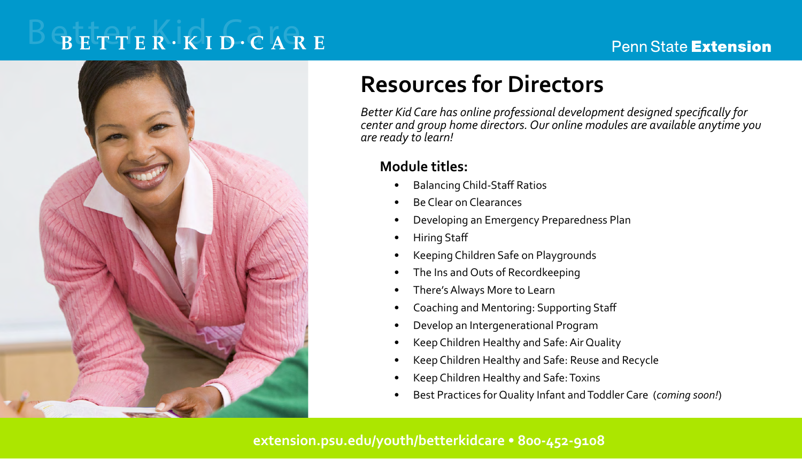# $B E T T E R \cdot K I D \cdot C A R E$

### **Penn State Extension**



# **Resources for Directors**

*Better Kid Care has online professional development designed specifically for center and group home directors. Our online modules are available anytime you are ready to learn!*

# **Module titles:**

- Balancing Child-Staff Ratios
- Be Clear on Clearances
- Developing an Emergency Preparedness Plan
- Hiring Staff
- Keeping Children Safe on Playgrounds
- The Ins and Outs of Recordkeeping
- There's Always More to Learn
- Coaching and Mentoring: Supporting Staff
- Develop an Intergenerational Program
- Keep Children Healthy and Safe: Air Quality
- Keep Children Healthy and Safe: Reuse and Recycle
- Keep Children Healthy and Safe: Toxins
- Best Practices for Quality Infant and Toddler Care (*coming soon!*)

### **extension.psu.edu/youth/betterkidcare • 800-452-9108**